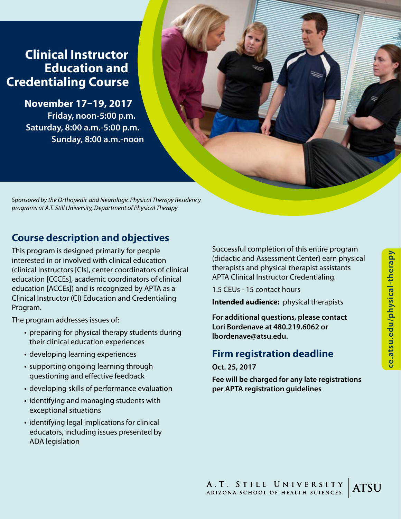# **Clinical Instructor Education and Credentialing Course**

**November 17–19, 2017 Friday, noon-5:00 p.m. Saturday, 8:00 a.m.-5:00 p.m. Sunday, 8:00 a.m.-noon**

*Sponsored by the Orthopedic and Neurologic Physical Therapy Residency programs at A.T. Still University, Department of Physical Therapy*

# **Course description and objectives**

This program is designed primarily for people interested in or involved with clinical education (clinical instructors [CIs], center coordinators of clinical education [CCCEs], academic coordinators of clinical education [ACCEs]) and is recognized by APTA as a Clinical Instructor (CI) Education and Credentialing Program.

The program addresses issues of:

- preparing for physical therapy students during their clinical education experiences
- developing learning experiences
- supporting ongoing learning through questioning and effective feedback
- developing skills of performance evaluation
- identifying and managing students with exceptional situations
- identifying legal implications for clinical educators, including issues presented by ADA legislation

Successful completion of this entire program (didactic and Assessment Center) earn physical therapists and physical therapist assistants APTA Clinical Instructor Credentialing.

1.5 CEUs - 15 contact hours

**Intended audience:** physical therapists

**For additional questions, please contact Lori Bordenave at 480.219.6062 or lbordenave@atsu.edu.**

### **Firm registration deadline**

**Oct. 25, 2017**

**Fee will be charged for any late registrations per APTA registration guidelines**